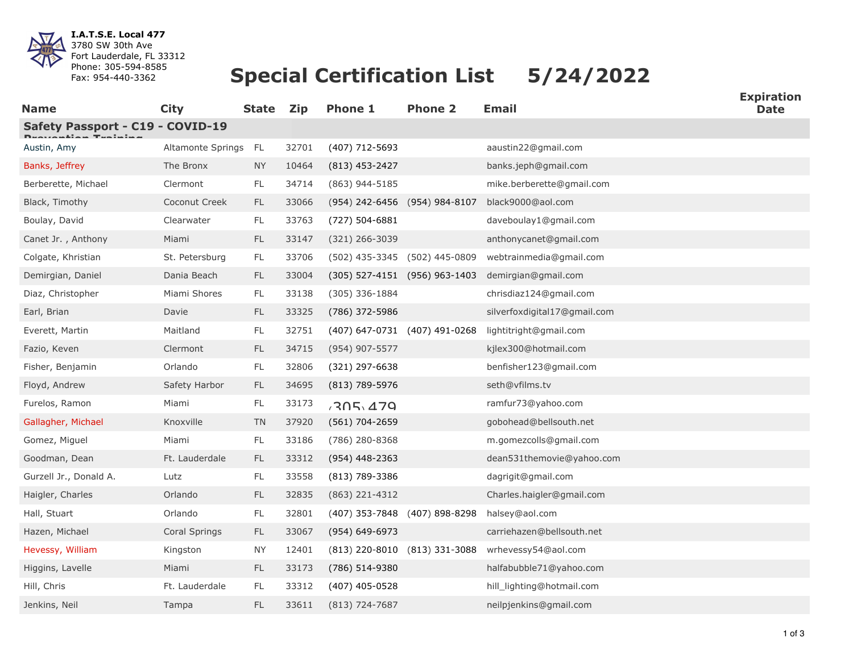

**I.A.T.S.E. Local 477** 3780 SW 30th Ave Fort Lauderdale, FL 33312 Phone: 305-594-8585 Fax: 954-440-3362

## **Special Certification List 5/24/2022**

| <b>Name</b>                      | <b>City</b>          | <b>State</b>  | <b>Zip</b> | <b>Phone 1</b>                | <b>Phone 2</b>                | <b>Email</b>                 | ∟лрпч<br><b>Date</b> |
|----------------------------------|----------------------|---------------|------------|-------------------------------|-------------------------------|------------------------------|----------------------|
| Safety Passport - C19 - COVID-19 |                      |               |            |                               |                               |                              |                      |
| Austin, Amy                      | Altamonte Springs FL |               | 32701      | (407) 712-5693                |                               | aaustin22@gmail.com          |                      |
| Banks, Jeffrey                   | The Bronx            | NY            | 10464      | $(813)$ 453-2427              |                               | banks.jeph@gmail.com         |                      |
| Berberette, Michael              | Clermont             | $\mathsf{FL}$ | 34714      | (863) 944-5185                |                               | mike.berberette@gmail.com    |                      |
| Black, Timothy                   | Coconut Creek        | <b>FL</b>     | 33066      | (954) 242-6456 (954) 984-8107 |                               | black9000@aol.com            |                      |
| Boulay, David                    | Clearwater           | FL            | 33763      | (727) 504-6881                |                               | daveboulay1@gmail.com        |                      |
| Canet Jr., Anthony               | Miami                | FL.           | 33147      | (321) 266-3039                |                               | anthonycanet@gmail.com       |                      |
| Colgate, Khristian               | St. Petersburg       | FL            | 33706      | (502) 435-3345                | (502) 445-0809                | webtrainmedia@gmail.com      |                      |
| Demirgian, Daniel                | Dania Beach          | FL.           | 33004      |                               | (305) 527-4151 (956) 963-1403 | demirgian@gmail.com          |                      |
| Diaz, Christopher                | Miami Shores         | FL            | 33138      | (305) 336-1884                |                               | chrisdiaz124@gmail.com       |                      |
| Earl, Brian                      | Davie                | FL            | 33325      | (786) 372-5986                |                               | silverfoxdigital17@gmail.com |                      |
| Everett, Martin                  | Maitland             | $\mathsf{FL}$ | 32751      |                               | (407) 647-0731 (407) 491-0268 | lightitright@gmail.com       |                      |
| Fazio, Keven                     | Clermont             | <b>FL</b>     | 34715      | (954) 907-5577                |                               | kjlex300@hotmail.com         |                      |
| Fisher, Benjamin                 | Orlando              | FL            | 32806      | $(321)$ 297-6638              |                               | benfisher123@gmail.com       |                      |
| Floyd, Andrew                    | Safety Harbor        | FL            | 34695      | (813) 789-5976                |                               | seth@vfilms.tv               |                      |
| Furelos, Ramon                   | Miami                | FL            | 33173      | 705.479                       |                               | ramfur73@yahoo.com           |                      |
| Gallagher, Michael               | Knoxville            | <b>TN</b>     | 37920      | (561) 704-2659                |                               | gobohead@bellsouth.net       |                      |
| Gomez, Miguel                    | Miami                | FL            | 33186      | (786) 280-8368                |                               | m.gomezcolls@gmail.com       |                      |
| Goodman, Dean                    | Ft. Lauderdale       | FL.           | 33312      | $(954)$ 448-2363              |                               | dean531themovie@yahoo.com    |                      |
| Gurzell Jr., Donald A.           | Lutz                 | FL.           | 33558      | (813) 789-3386                |                               | dagrigit@gmail.com           |                      |
| Haigler, Charles                 | Orlando              | FL.           | 32835      | (863) 221-4312                |                               | Charles.haigler@gmail.com    |                      |
| Hall, Stuart                     | Orlando              | FL            | 32801      |                               | (407) 353-7848 (407) 898-8298 | halsey@aol.com               |                      |
| Hazen, Michael                   | Coral Springs        | FL.           | 33067      | (954) 649-6973                |                               | carriehazen@bellsouth.net    |                      |
| Hevessy, William                 | Kingston             | ΝY            | 12401      |                               | (813) 220-8010 (813) 331-3088 | wrhevessy54@aol.com          |                      |
| Higgins, Lavelle                 | Miami                | <b>FL</b>     | 33173      | (786) 514-9380                |                               | halfabubble71@yahoo.com      |                      |
| Hill, Chris                      | Ft. Lauderdale       | FL.           | 33312      | (407) 405-0528                |                               | hill_lighting@hotmail.com    |                      |
| Jenkins, Neil                    | Tampa                | FL.           | 33611      | $(813)$ 724-7687              |                               | neilpjenkins@gmail.com       |                      |

**Expiration**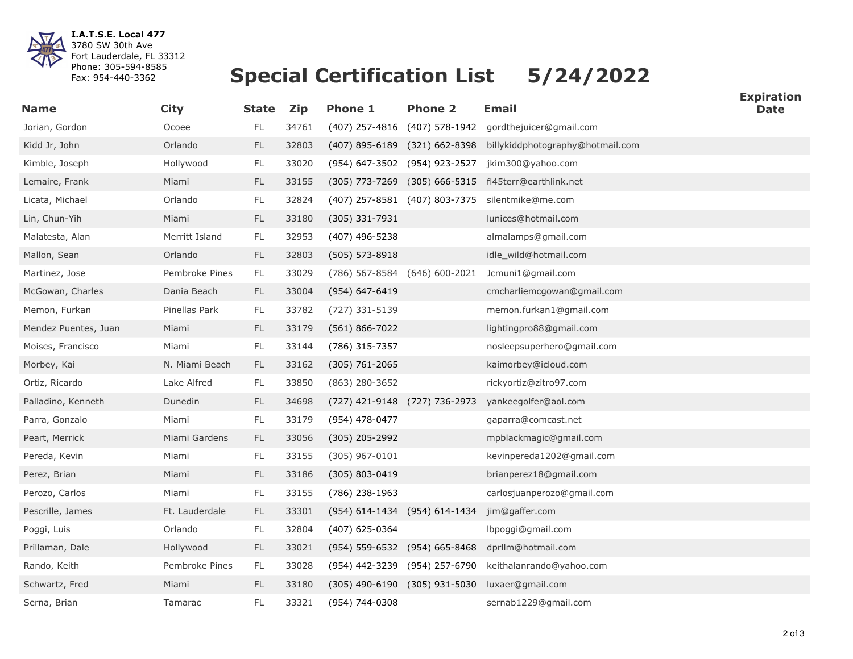

**I.A.T.S.E. Local 477** 3780 SW 30th Ave Fort Lauderdale, FL 33312 Phone: 305-594-8585 Fax: 954-440-3362

## **Special Certification List 5/24/2022**

| <b>Name</b>          | <b>City</b>    | <b>State</b>  | <b>Zip</b> | <b>Phone 1</b>                | <b>Phone 2</b>                    | <b>Email</b>                                          | <b>Date</b> |
|----------------------|----------------|---------------|------------|-------------------------------|-----------------------------------|-------------------------------------------------------|-------------|
| Jorian, Gordon       | Ocoee          | $\mathsf{FL}$ | 34761      |                               |                                   | (407) 257-4816 (407) 578-1942 gordthejuicer@gmail.com |             |
| Kidd Jr, John        | Orlando        | $\mathsf{FL}$ | 32803      |                               | (407) 895-6189 (321) 662-8398     | billykiddphotography@hotmail.com                      |             |
| Kimble, Joseph       | Hollywood      | $\mathsf{FL}$ | 33020      |                               | (954) 647-3502 (954) 923-2527     | jkim300@yahoo.com                                     |             |
| Lemaire, Frank       | Miami          | $\mathsf{FL}$ | 33155      |                               |                                   | (305) 773-7269 (305) 666-5315 fl45terr@earthlink.net  |             |
| Licata, Michael      | Orlando        | FL.           | 32824      |                               | (407) 257-8581 (407) 803-7375     | silentmike@me.com                                     |             |
| Lin, Chun-Yih        | Miami          | FL            | 33180      | (305) 331-7931                |                                   | lunices@hotmail.com                                   |             |
| Malatesta, Alan      | Merritt Island | FL            | 32953      | (407) 496-5238                |                                   | almalamps@gmail.com                                   |             |
| Mallon, Sean         | Orlando        | <b>FL</b>     | 32803      | $(505) 573 - 8918$            |                                   | idle_wild@hotmail.com                                 |             |
| Martinez, Jose       | Pembroke Pines | FL            | 33029      | (786) 567-8584 (646) 600-2021 |                                   | Jcmuni1@gmail.com                                     |             |
| McGowan, Charles     | Dania Beach    | FL            | 33004      | (954) 647-6419                |                                   | cmcharliemcgowan@gmail.com                            |             |
| Memon, Furkan        | Pinellas Park  | FL            | 33782      | (727) 331-5139                |                                   | memon.furkan1@gmail.com                               |             |
| Mendez Puentes, Juan | Miami          | $\mathsf{FL}$ | 33179      | $(561) 866 - 7022$            |                                   | lightingpro88@gmail.com                               |             |
| Moises, Francisco    | Miami          | FL            | 33144      | (786) 315-7357                |                                   | nosleepsuperhero@gmail.com                            |             |
| Morbey, Kai          | N. Miami Beach | <b>FL</b>     | 33162      | $(305) 761 - 2065$            |                                   | kaimorbey@icloud.com                                  |             |
| Ortiz, Ricardo       | Lake Alfred    | FL            | 33850      | $(863)$ 280-3652              |                                   | rickyortiz@zitro97.com                                |             |
| Palladino, Kenneth   | Dunedin        | $\mathsf{FL}$ | 34698      | (727) 421-9148 (727) 736-2973 |                                   | yankeegolfer@aol.com                                  |             |
| Parra, Gonzalo       | Miami          | $\mathsf{FL}$ | 33179      | (954) 478-0477                |                                   | gaparra@comcast.net                                   |             |
| Peart, Merrick       | Miami Gardens  | FL            | 33056      | (305) 205-2992                |                                   | mpblackmagic@gmail.com                                |             |
| Pereda, Kevin        | Miami          | FL            | 33155      | $(305)$ 967-0101              |                                   | kevinpereda1202@gmail.com                             |             |
| Perez, Brian         | Miami          | $\mathsf{FL}$ | 33186      | $(305) 803 - 0419$            |                                   | brianperez18@gmail.com                                |             |
| Perozo, Carlos       | Miami          | FL            | 33155      | (786) 238-1963                |                                   | carlosjuanperozo@gmail.com                            |             |
| Pescrille, James     | Ft. Lauderdale | <b>FL</b>     | 33301      |                               | (954) 614-1434 (954) 614-1434     | jim@gaffer.com                                        |             |
| Poggi, Luis          | Orlando        | FL            | 32804      | (407) 625-0364                |                                   | lbpoggi@gmail.com                                     |             |
| Prillaman, Dale      | Hollywood      | $\mathsf{FL}$ | 33021      |                               | (954) 559-6532 (954) 665-8468     | dprllm@hotmail.com                                    |             |
| Rando, Keith         | Pembroke Pines | <b>FL</b>     | 33028      |                               | (954) 442-3239 (954) 257-6790     | keithalanrando@yahoo.com                              |             |
| Schwartz, Fred       | Miami          | <b>FL</b>     | 33180      |                               | $(305)$ 490-6190 $(305)$ 931-5030 | luxaer@gmail.com                                      |             |
| Serna, Brian         | Tamarac        | $\mathsf{FL}$ | 33321      | (954) 744-0308                |                                   | sernab1229@gmail.com                                  |             |

**Expiration**